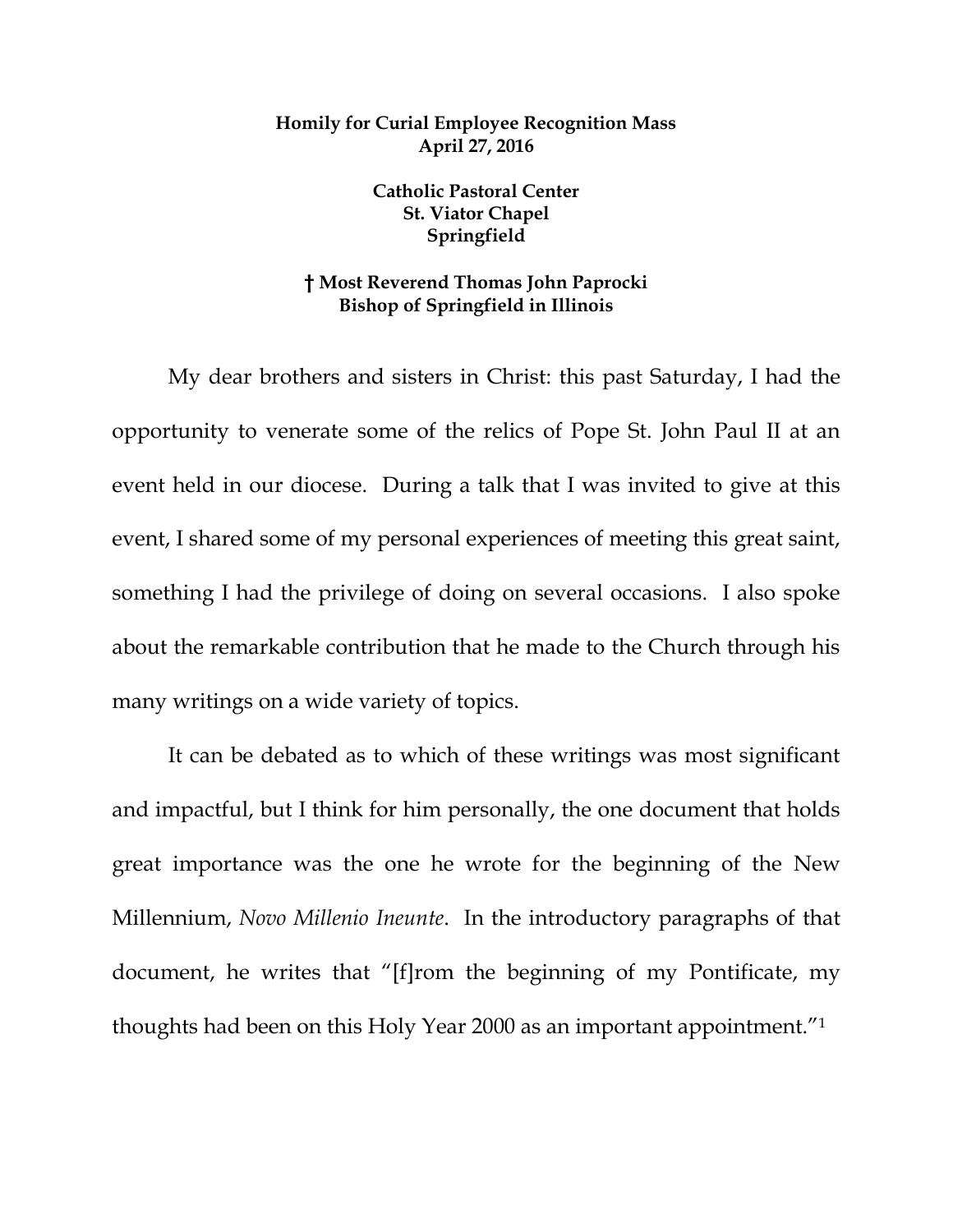## **Homily for Curial Employee Recognition Mass April 27, 2016**

**Catholic Pastoral Center St. Viator Chapel Springfield**

## **† Most Reverend Thomas John Paprocki Bishop of Springfield in Illinois**

My dear brothers and sisters in Christ: this past Saturday, I had the opportunity to venerate some of the relics of Pope St. John Paul II at an event held in our diocese. During a talk that I was invited to give at this event, I shared some of my personal experiences of meeting this great saint, something I had the privilege of doing on several occasions. I also spoke about the remarkable contribution that he made to the Church through his many writings on a wide variety of topics.

It can be debated as to which of these writings was most significant and impactful, but I think for him personally, the one document that holds great importance was the one he wrote for the beginning of the New Millennium, *Novo Millenio Ineunte*. In the introductory paragraphs of that document, he writes that "[f]rom the beginning of my Pontificate, my thoughts had been on this Holy Year 2000 as an important appointment."1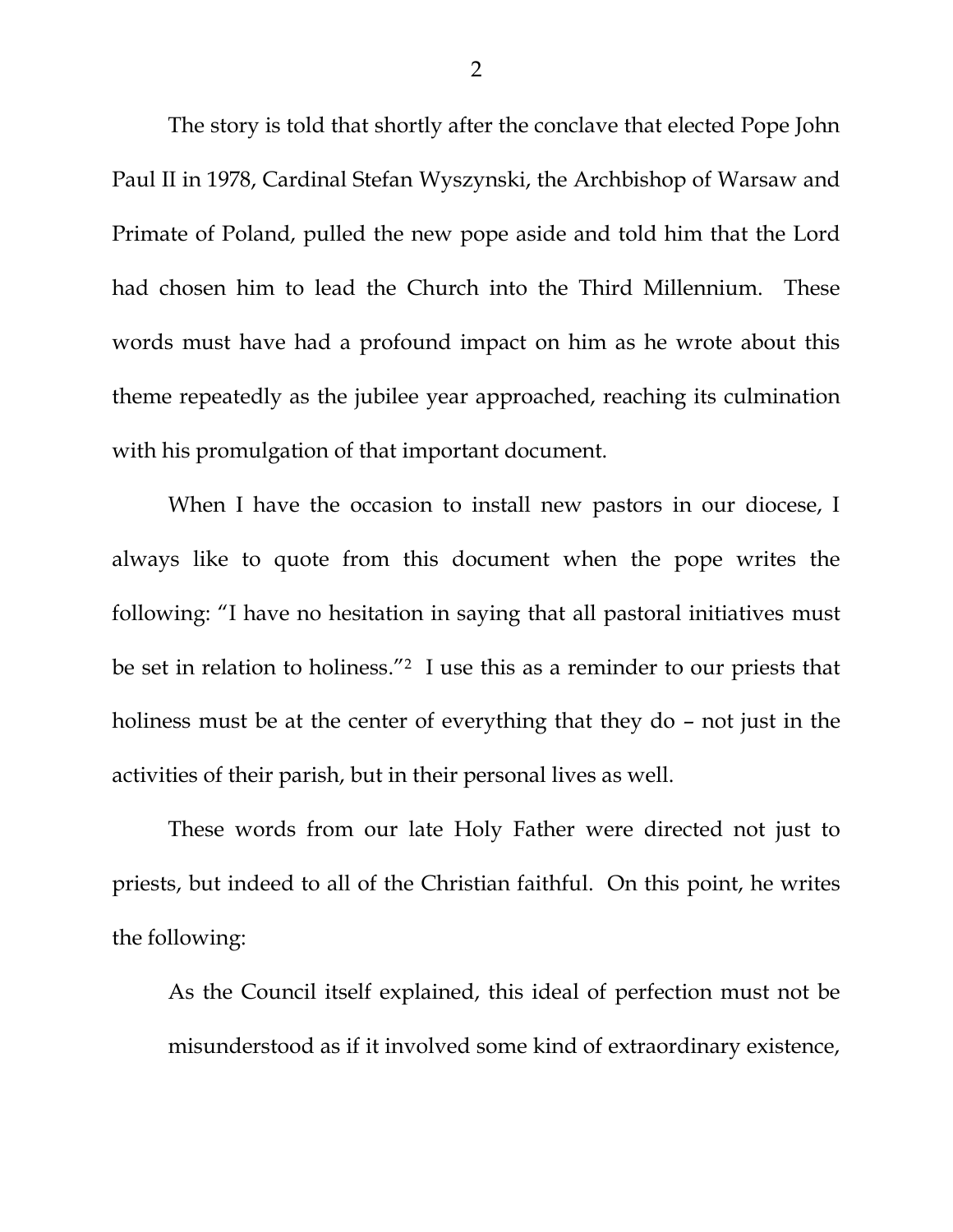The story is told that shortly after the conclave that elected Pope John Paul II in 1978, Cardinal Stefan Wyszynski, the Archbishop of Warsaw and Primate of Poland, pulled the new pope aside and told him that the Lord had chosen him to lead the Church into the Third Millennium. These words must have had a profound impact on him as he wrote about this theme repeatedly as the jubilee year approached, reaching its culmination with his promulgation of that important document.

When I have the occasion to install new pastors in our diocese, I always like to quote from this document when the pope writes the following: "I have no hesitation in saying that all pastoral initiatives must be set in relation to holiness."<sup>2</sup> I use this as a reminder to our priests that holiness must be at the center of everything that they do – not just in the activities of their parish, but in their personal lives as well.

These words from our late Holy Father were directed not just to priests, but indeed to all of the Christian faithful. On this point, he writes the following:

As the Council itself explained, this ideal of perfection must not be misunderstood as if it involved some kind of extraordinary existence,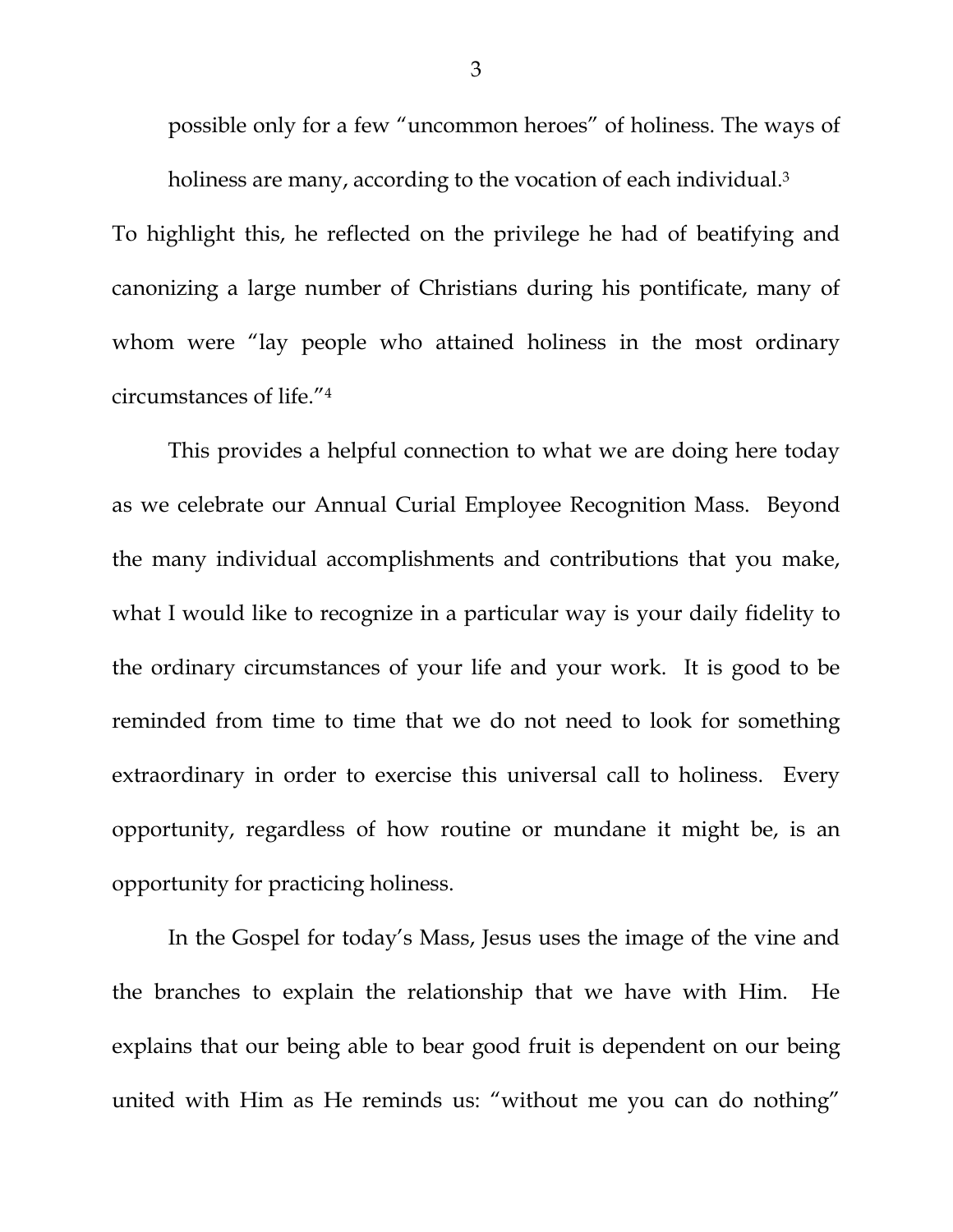possible only for a few "uncommon heroes" of holiness. The ways of holiness are many, according to the vocation of each individual.<sup>3</sup>

To highlight this, he reflected on the privilege he had of beatifying and canonizing a large number of Christians during his pontificate, many of whom were "lay people who attained holiness in the most ordinary circumstances of life." 4

This provides a helpful connection to what we are doing here today as we celebrate our Annual Curial Employee Recognition Mass. Beyond the many individual accomplishments and contributions that you make, what I would like to recognize in a particular way is your daily fidelity to the ordinary circumstances of your life and your work. It is good to be reminded from time to time that we do not need to look for something extraordinary in order to exercise this universal call to holiness. Every opportunity, regardless of how routine or mundane it might be, is an opportunity for practicing holiness.

In the Gospel for today's Mass, Jesus uses the image of the vine and the branches to explain the relationship that we have with Him. He explains that our being able to bear good fruit is dependent on our being united with Him as He reminds us: "without me you can do nothing"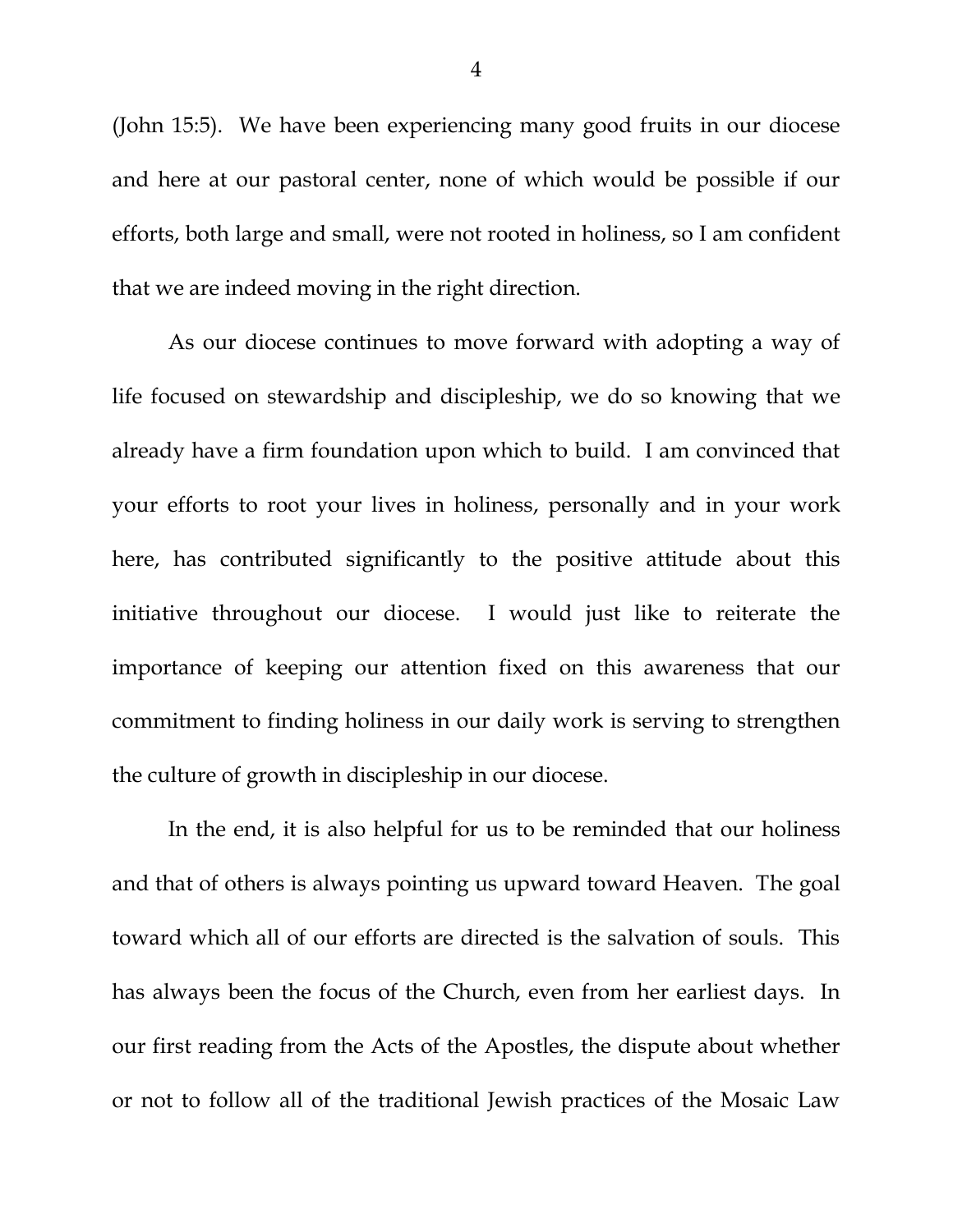(John 15:5). We have been experiencing many good fruits in our diocese and here at our pastoral center, none of which would be possible if our efforts, both large and small, were not rooted in holiness, so I am confident that we are indeed moving in the right direction.

As our diocese continues to move forward with adopting a way of life focused on stewardship and discipleship, we do so knowing that we already have a firm foundation upon which to build. I am convinced that your efforts to root your lives in holiness, personally and in your work here, has contributed significantly to the positive attitude about this initiative throughout our diocese. I would just like to reiterate the importance of keeping our attention fixed on this awareness that our commitment to finding holiness in our daily work is serving to strengthen the culture of growth in discipleship in our diocese.

In the end, it is also helpful for us to be reminded that our holiness and that of others is always pointing us upward toward Heaven. The goal toward which all of our efforts are directed is the salvation of souls. This has always been the focus of the Church, even from her earliest days. In our first reading from the Acts of the Apostles, the dispute about whether or not to follow all of the traditional Jewish practices of the Mosaic Law